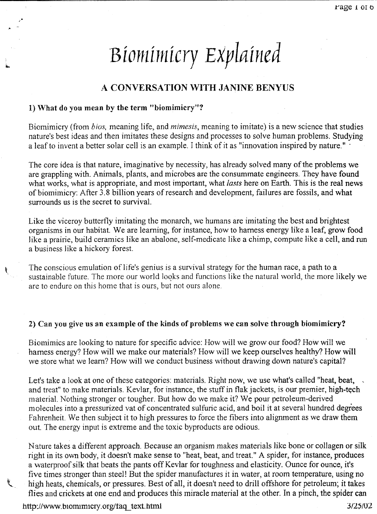# *Biomimicry Explained*

## A CONVERSATION \VITH JANINE BENYUS

#### 1) What do you mean by the term "biomimicry"?

Biomimicry (from *bios,* meaning life, and *mimesis,* meaning to imitate) is a new science that studies nature's best ideas and then imitates these designs and processes to solve human problems. Studying a leaf to invent a better solar cell is an example. I think of it as "innovation inspired by nature." .

The core idea is that nature, imaginative by necessity, has already solved many of the problems we are grappling with. Animals, plants, and microbes are the consummate engineers. They have found what works, what is appropriate, and most important, what *lasts* here on Earth. This is the real news of biomimicry: After 3.8 billion years of research and development, failures are fossils, and what surrounds us is the secret to survival.

Like the viceroy butterfly imitating the monarch, we humans are imitating the best and brightest organisms in our habitat. We are learning, for instance, how to harness energy like a leaf, grow food like a prairie, build ceramics like an abalone, self-medicate like a chimp, compute like a cell, and run a business like a hickory forest.

The conscious emulation of life's genius is a survival strategy for the human race, a path to a sustainable future. The more our world looks and functions like the natural world, the more likely we are to endure on this home that is ours, but not ours alone.

#### 2) Can you give us an example of the kinds of problems we can solve through biomimicry?

Biomimics are looking to nature for specific advice: How will we grow our food? How \vill we harness energy? How will we make our materials? How will we keep ourselves healthy? How will we store what we learn? How will we conduct business without drawing down nature's capital?

Let's take a look at one of these categories: materials. Right now, we use what's called "heat, beat, and treat" to make materials. Kevlar, for instance, the stuff in flak jackets, is our premier, high-tech material. Nothing stronger or tougher. But how do we make it? We pour petroleum-derived molecules into a pressurized vat of concentrated sulfuric acid, and boil it at several hundred degrees Fahrenheit. We then subject it to high pressures to force the fibers into alignment as we draw them out. The energy input is extreme and the toxic byproducts are odious.

Nature takes a different approach. Because an organism makes materials like bone or collagen or silk right in its own body, it doesn't make sense to "heat, beat, and treat." A spider, for instance, produces a waterproof silk that beats the pants off Kevlar for toughness and elasticity. Ounce for ounce, it's five times stronger than steel! But the spider manufactures it in water, at room temperature, using no high heats, chemicals, or pressures. Best of all, it doesn't need to drill offshore for petroleum; it takes flies and crickets at one end and produces this miracle material at the other. In a pinch, the spider can

http://www.biomimicry.org/faq\_text.html

ŧ

3/25/02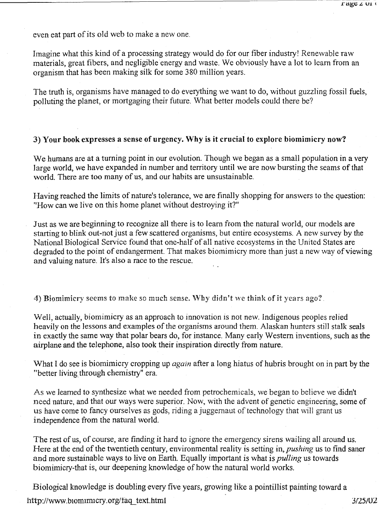even eat part of its old web to make a new one.

Imagine what this kind of a processing strategy would do for our fiber industry! Renewable raw materials, great fibers, and negligible energy and waste. We obviously have a lot to learn from an organism that has been making silk for some 380 million years.

The truth is, organisms have managed to do everything we want to do, without guzzling fossil fuels, polluting the planet, or mortgaging their future. What better models could there be?

#### 3) Your book expresses a sense of urgency. \Vhy is **it** crucial to explore biomimicry now?

We humans are at a turning point in our evolution. Though we began as a small population in a very large world, we have expanded in number and territory until we are now bursting the seams of that world. There are too many of us, and our habits are unsustainable.

Having reached the limits of nature's tolerance, we are finally shopping for answers to the question: "How can we live on this home planet without destroying it?"

Just as we are beginning to recognize all there is to learn from the natural world, our models are starting to blink out-not just a few scattered organisms, but entire ecosystems. A new survey by the National Biological Service found that one-half of all native ecosystems in the United States are degraded to the point of endangerment. That makes biomimicry more than just a new way of viewing and valuing nature. It's also a race to the rescue.

4) Biomimicry seems to make so much sense. Why didn't we think of it years ago?.

Well, actually, biomimicry as an approach to innovation is not new. Indigenous peoples relied heavily on the lessons and examples of the organisms around them. Alaskan hunters still stalk seals in exactly the same way that polar bears do, for instance. Many early Western inventions, such as the airplane and the telephone, also took their inspiration directly from nature.

What I do see is biomimicry cropping up *again* after a long hiatus of hubris brought on in part by the "better living through chemistry" era.

As we learned to synthesize what we needed from petrochemicals, we began to believe we didn't need nature, and that our ways were superior. Now, with the advent of genetic engineering, some of us have come to fancy ourselves as gods, riding a juggernaut of technology that will grant us independence from the natural world.

The rest of us, of course, are finding it hard to ignore the emergency sirens wailing all around us. Here at the end of the twentieth century, environmental reality is setting in, *pushing* us to find saner and more sustainable ways to live on Earth. Equally important is what is *pulling* us towards biomimicry-that is, our deepening knowledge of how the natural world works.

Biological knowledge is doubling every five years, growing like a pointillist painting toward a http://www.biomimicry.org/faq\_text.html *3/25/02 3/25/02*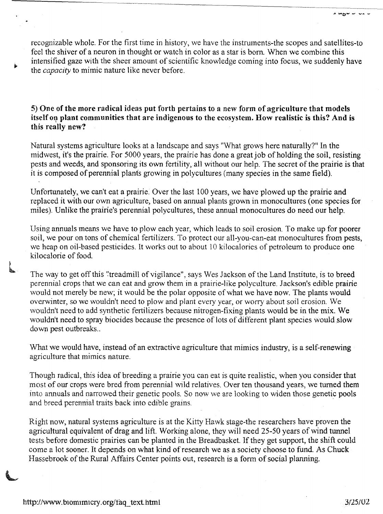recognizable whole. For the first time in history, we have the instruments-the scopes and satellites-to feel the shiver of a neuron in thought or watch in color as a star is born. When we combine this intensified gaze with the sheer amount of scientific knowledge coming into focus, we suddenly have the *capacity* to mimic nature like never before.

5) One of the more radical ideas put forth pertains to a new form of agriculture that models itself on plant communities that are indigenous to the ecosystem. How realistic is this? And is this really new?

Natural systems agriculture looks at a landscape and says "What grows here naturally?" In the midwest, it's the prairie. For 5000 years, the prairie has done a great job of holding the soil, resisting pests and weeds, and sponsoring its own fertility, all without our help. The secret of the prairie is that it is composed of perennial planfs growing in polycultures (many species in the same field).

Unfortunately, we can't eat a prairie. Over the last 100 years, we have plowed up the prairie and replaced it with our own agriculture, based on annual plants grown in monocultures (one species for miles). Unlike the prairie's perennial polycultures, these annual monocultures do need our help.

Using annuals means we have to plow each year, which leads to soil erosion. To make up for poorer soil, we pour on tons of chemical fertilizers. To protect our all-you~can-eat monocultures from pests, we heap on oil-based pesticides. It works out to about 10 kilocalories of petroleum to produce one kilocalorie of food.

The way to get off this "treadmill of vigilance", says Wes Jackson of the Land Institute, is to breed perennial crops that we can eat and grow them in a prairie-like polyculture. Jackson's edible prairie would not merely be new; it would be the polar opposite of what we have now. The plants would overwinter, so we wouldn't need to plow and plant every year, or worry about soil erosion. We wouldn't need to add synthetic fertilizers because nitrogen-fixing plants would be in the mix. We wouldn't need to spray biocides because the presence of lots of different plant species would slow down pest outbreaks...

What we would have, instead of an extractive agriculture that mimics industry, is a self-renewing agriculture that mimics nature.

Though radical, tbis idea of breeding a prairie you can eat is quite realistic, when you consider that most of our crops were bred from perennial wild relatives. Over ten thousand years, we turned them into annuals and narrowed their genetic pools. So now we are looking to widen those genetic pools and breed perennial traits back into edible grains.

Right now, natural systems agriculture is at the Kitty Hawk stage-the researchers have proven the agricultural equivalent of drag and lift. Working alone, they will need 25-50 years of wind tunnel tests before domestic prairies can be planted in the Breadbasket. If they get support, the shift could come a lot sooner. It depends on what kind of research we as a society choose to fund. As Chuck Hassebrook of the Rural Affairs Center points out, research is a form of social planning.

L

**.......• 0- - -...-**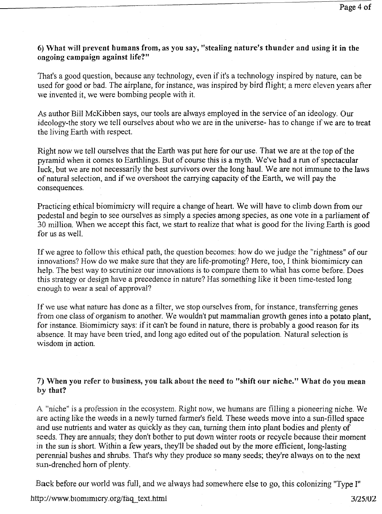### 6) What will prevent humans from, as you say, "stealing nature's thunder and using it in the ongoing campaign against life?"

That's a good question, because any technology, even if it's a technology inspired by nature, can be used for good or bad. The airplane, for instance, was inspired by bird flight; a mere eleven years after we invented it, we were bombing people with it.

As author Bill McKibben says, our tools are always employed in the service of an ideology. Our ideology-the story we tell ourselves about who we are in the universe- has to change if we are to treat the living Earth with respect.

Right now we tell ourselves that the Earth was put here for our use. That we are at the top of the pyramid when it comes to Earthlings. But of course this is a myth. We've had a run of spectacular luck, but we are not necessarily the best survivors over the long haul. We are not immune to the laws of natural selection, and if we overshoot the carrying capacity of the Earth, we \\'111 pay the consequences.

Practicing ethical biomimicry will require a change of heart. We will have to climb down from our pedestal and begin to see ourselves as simply a species among species, as one vote in a parliament of 30 million. When we accept this fact, we start to realize that what is good for the living Earth is good for us as well.

If we agree to follow this ethical path, the question becomes: how do we judge the "rightness" of our innovations? How do we make sure that they are life-promoting? Here, too, Ithink biomimicry can help. The best way to scrutinize our innovations is to compare them to what has come before. Does this strategy or design have a precedence in nature? Has something like it been time-tested long enough to wear a seal of approval?

If we use what nature has done as a filter, we stop ourselves from, for instance, transferring genes from one class of organism to another. We wouldn't put mammalian growth genes into a potato plant, for instance. Biomimicry says: if it can't be found in nature, there is probably a good reason for its absence. It may have been tried, and long ago edited out of the population. Natural selection is wisdom in action.

## 7) When you refer to business, you talk about the need to "shift our niche." What do you mean by that?

A "niche" is a profession in the ecosystem. Right now, we humans are filling a pioneering niche. We are acting like the weeds in a newly turned farmer's field. These weeds move into a sun-filled space and use nutrients and water as quickly as they can, turning them into plant bodies and plenty of seeds. They are annuals; they don't bother to put down winter roots or recycle because their moment in the sun is short. Within a few years, they'll be shaded out by the more efficient, long-lasting perennial bushes and shrubs. That's why they produce so many seeds; they're always on to the next sun-drenched horn of plenty.

Back before our world was full, and we always had somewhere else to go, this colonizing "Type I"

#### http://www.biomimicry.org/taq text.html

3/25/02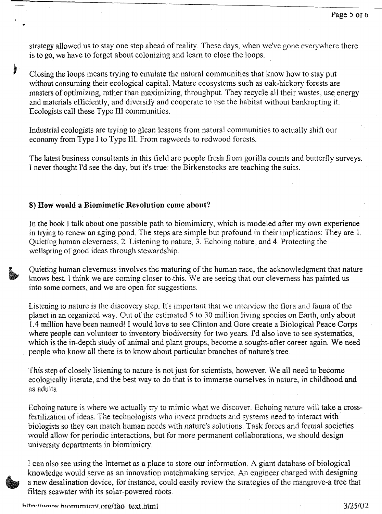strategy allowed us to stay one step ahead of reality. These days, when we've gone everywhere there is to go, we have to forget about colonizing and learn to close the loops.

Closing the loops means trying to emulate the natural communities that know how to stay put without consuming their ecological capital. Mature ecosystems such as oak-hickory forests are masters of optimizing, rather than maximizing, throughput. They recycle all their wastes, use energy and materials efficiently, and diversify and cooperate to use the habitat without bankrupting it. Ecologists call these Type III communities.

Industrial ecologists are trying to glean lessons from natural communities to actually shift our economy from Type I to Type III. From ragweeds to redwood forests.

The latest business consultants in this field are people fresh from gorilla counts and butterfly surveys. I never thought I'd see the day, but it's true: the Birkenstocks are teaching the suits.

#### 8) How would a Biomimetic Revolution come about?

Ì

In the book I talk about one possible path to biomimicry, which is modeled after my own experience in trying to renew an aging pond. The steps are simple but profound in their implications: They are 1. Quieting human cleverness, 2. Listening to nature, 3. Echoing nature, and 4. Protecting the wellspring of good ideas through stewardship.

Quieting human cleverness involves the maturing of the human race, the acknowledgment that nature knows best. I think we are coming closer to·this. We are seeing that our cleverness has painted us into some corners, and we are open for suggestions.

Listening to nature is the discovery step. It's important that we interview the flora and fauna of the planet in an organized way. Out of the estimated 5 to 30 million living species on Earth, only about 1.4 million have been named! I would love to see Clinton and Gore create a Biological Peace Corps where people can volunteer to inventory biodiversity for two years. I'd also love to see systematics, which is the in-depth study of animal and plant groups, become a sought-after career again. We need people who know all there is to know about particular branches of nature's tree.

This step of closely listening to nature is not just for scientists, however. We all need to become ecologically literate, and the best way to do that is to immerse ourselves in nature, in childhood and as adults.

Echoing nature is where we actually try to mimic what we discover. Echoing nature will take a crossfertilization of ideas. The technologists who invent products and systems need to interact with biologists so they can match human needs with nature's solutions. Task forces and formal societies would allow for periodic interactions, but for more permanent collaborations, we should design university departments in biomimicry.

I can also see using the Internet as a place to store our information. A giant database of biological knowledge would serve as an innovation matchmaking service. An engineer charged with designing a new desalination device, for instance, could easily review the strategies of the mangrove-a tree that filters seawater with its solar-powered roots.